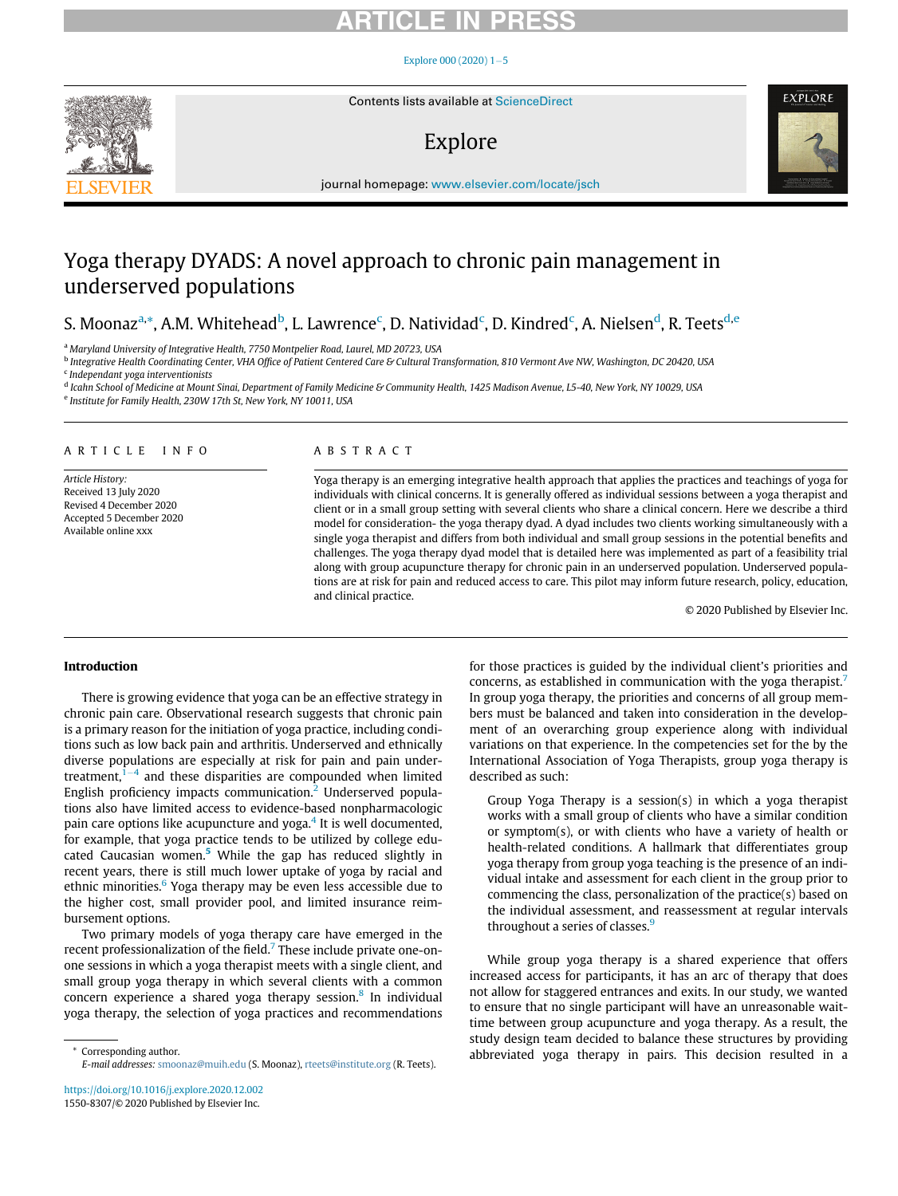#### Explore 000 (2020)  $1-5$  $1-5$



Contents lists available at ScienceDirect

### Explore



journal homepage: [www.elsevier.com/locate/jsch](http://www.elsevier.com/locate/jsch)

### Yoga therapy DYADS: A novel approach to chronic pain management in underserved populations

### S. Moonaz<sup>[a,](#page-0-0)</sup>[\\*,](#page-0-1) A.M. Whitehead<sup>[b](#page-0-2)</sup>, L. Lawren[c](#page-0-3)e<sup>c</sup>, D. Nativi[d](#page-0-4)ad<sup>c</sup>, D. Kindred<sup>c</sup>, A. Nielsen<sup>d</sup>, R. Teets<sup>[d,](#page-0-4)[e](#page-0-5)</sup>

<span id="page-0-0"></span><sup>a</sup> Maryland University of Integrative Health, 7750 Montpelier Road, Laurel, MD 20723, USA

<span id="page-0-3"></span><span id="page-0-2"></span><sup>b</sup> Integrative Health Coordinating Center, VHA Office of Patient Centered Care & Cultural Transformation, 810 Vermont Ave NW, Washington, DC 20420, USA  $c$  Independant yoga interventionists

<span id="page-0-5"></span><span id="page-0-4"></span>d Icahn School of Medicine at Mount Sinai, Department of Family Medicine & Community Health, 1425 Madison Avenue, L5-40, New York, NY 10029, USA <sup>e</sup> Institute for Family Health, 230W 17th St, New York, NY 10011, USA

#### ARTICLE INFO

Article History: Received 13 July 2020 Revised 4 December 2020 Accepted 5 December 2020 Available online xxx

### ABSTRACT

Yoga therapy is an emerging integrative health approach that applies the practices and teachings of yoga for individuals with clinical concerns. It is generally offered as individual sessions between a yoga therapist and client or in a small group setting with several clients who share a clinical concern. Here we describe a third model for consideration- the yoga therapy dyad. A dyad includes two clients working simultaneously with a single yoga therapist and differs from both individual and small group sessions in the potential benefits and challenges. The yoga therapy dyad model that is detailed here was implemented as part of a feasibility trial along with group acupuncture therapy for chronic pain in an underserved population. Underserved populations are at risk for pain and reduced access to care. This pilot may inform future research, policy, education, and clinical practice.

© 2020 Published by Elsevier Inc.

#### Introduction

There is growing evidence that yoga can be an effective strategy in chronic pain care. Observational research suggests that chronic pain is a primary reason for the initiation of yoga practice, including conditions such as low back pain and arthritis. Underserved and ethnically diverse populations are especially at risk for pain and pain undertreatment, $1-4$  $1-4$  $1-4$  and these disparities are compounded when limited English proficiency impacts communication.<sup>[2](#page-4-1)</sup> Underserved populations also have limited access to evidence-based nonpharmacologic pain care options like acupuncture and yoga. $4$  It is well documented, for example, that yoga practice tends to be utilized by college edu-cated Caucasian women.<sup>[5](#page-4-3)</sup> While the gap has reduced slightly in recent years, there is still much lower uptake of yoga by racial and ethnic minorities.<sup>[6](#page-4-4)</sup> Yoga therapy may be even less accessible due to the higher cost, small provider pool, and limited insurance reimbursement options.

Two primary models of yoga therapy care have emerged in the recent professionalization of the field.<sup>[7](#page-4-5)</sup> These include private one-onone sessions in which a yoga therapist meets with a single client, and small group yoga therapy in which several clients with a common concern experience a shared yoga therapy session.<sup>[8](#page-4-6)</sup> In individual yoga therapy, the selection of yoga practices and recommendations

<https://doi.org/10.1016/j.explore.2020.12.002> 1550-8307/© 2020 Published by Elsevier Inc.

for those practices is guided by the individual client's priorities and concerns, as established in communication with the yoga therapist.[7](#page-4-5) In group yoga therapy, the priorities and concerns of all group members must be balanced and taken into consideration in the development of an overarching group experience along with individual variations on that experience. In the competencies set for the by the International Association of Yoga Therapists, group yoga therapy is described as such:

Group Yoga Therapy is a session(s) in which a yoga therapist works with a small group of clients who have a similar condition or symptom(s), or with clients who have a variety of health or health-related conditions. A hallmark that differentiates group yoga therapy from group yoga teaching is the presence of an individual intake and assessment for each client in the group prior to commencing the class, personalization of the practice(s) based on the individual assessment, and reassessment at regular intervals throughout a series of classes.<sup>[9](#page-4-7)</sup>

While group yoga therapy is a shared experience that offers increased access for participants, it has an arc of therapy that does not allow for staggered entrances and exits. In our study, we wanted to ensure that no single participant will have an unreasonable waittime between group acupuncture and yoga therapy. As a result, the study design team decided to balance these structures by providing Corresponding author. This decision resulted in a \* \* abbreviated yoga therapy in pairs. This decision resulted in a

<span id="page-0-1"></span>E-mail addresses: [smoonaz@muih.edu](mailto:smoonaz@muih.edu) (S. Moonaz), [rteets@institute.org](mailto:rteets@institute.org) (R. Teets).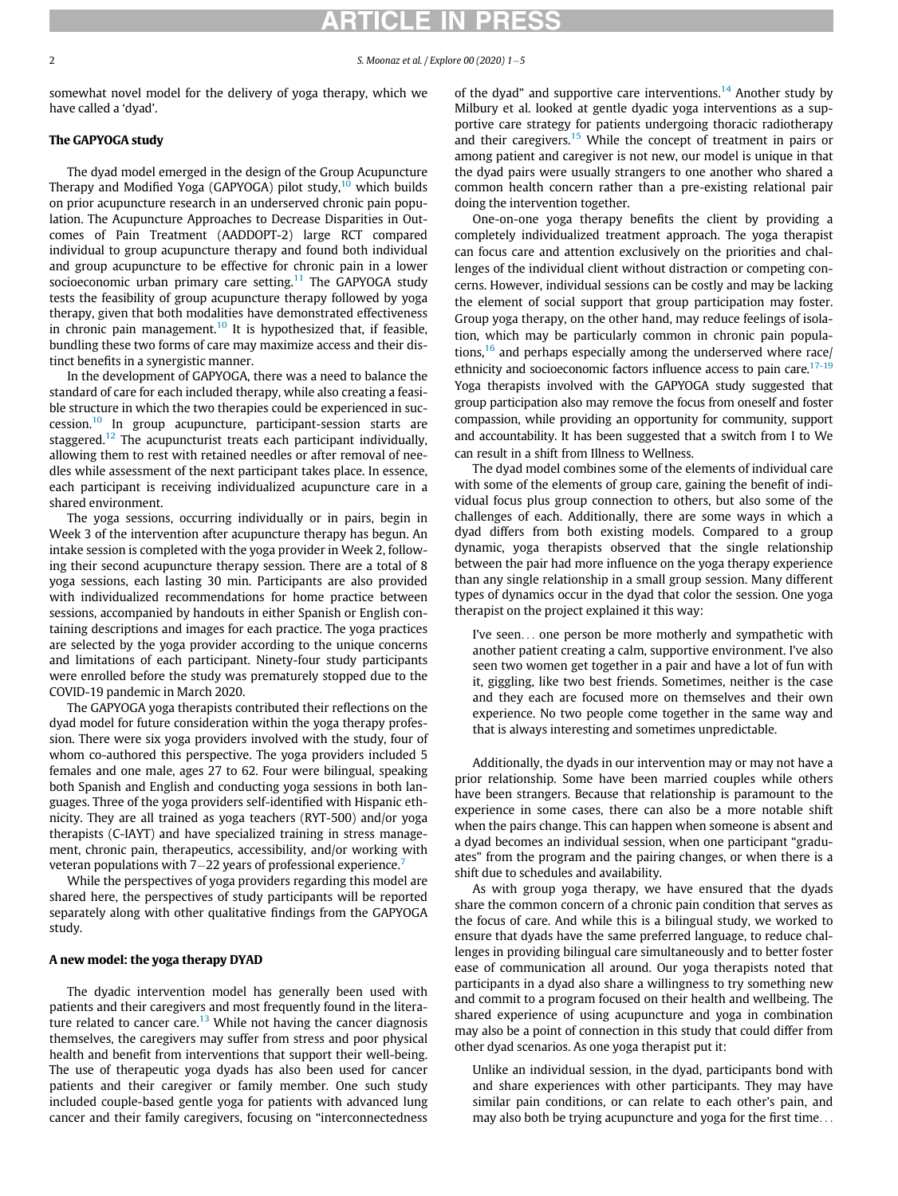2 S. Moonaz et al. / Explore 00 (2020)  $1-5$ 

somewhat novel model for the delivery of yoga therapy, which we have called a 'dyad'.

#### The GAPYOGA study

The dyad model emerged in the design of the Group Acupuncture Therapy and Modified Yoga (GAPYOGA) pilot study, $10$  which builds on prior acupuncture research in an underserved chronic pain population. The Acupuncture Approaches to Decrease Disparities in Outcomes of Pain Treatment (AADDOPT-2) large RCT compared individual to group acupuncture therapy and found both individual and group acupuncture to be effective for chronic pain in a lower socioeconomic urban primary care setting.<sup>[11](#page-4-9)</sup> The GAPYOGA study tests the feasibility of group acupuncture therapy followed by yoga therapy, given that both modalities have demonstrated effectiveness in chronic pain management. $10$  It is hypothesized that, if feasible, bundling these two forms of care may maximize access and their distinct benefits in a synergistic manner.

In the development of GAPYOGA, there was a need to balance the standard of care for each included therapy, while also creating a feasible structure in which the two therapies could be experienced in succession.[10](#page-4-8) In group acupuncture, participant-session starts are staggered.<sup>[12](#page-4-10)</sup> The acupuncturist treats each participant individually, allowing them to rest with retained needles or after removal of needles while assessment of the next participant takes place. In essence, each participant is receiving individualized acupuncture care in a shared environment.

The yoga sessions, occurring individually or in pairs, begin in Week 3 of the intervention after acupuncture therapy has begun. An intake session is completed with the yoga provider in Week 2, following their second acupuncture therapy session. There are a total of 8 yoga sessions, each lasting 30 min. Participants are also provided with individualized recommendations for home practice between sessions, accompanied by handouts in either Spanish or English containing descriptions and images for each practice. The yoga practices are selected by the yoga provider according to the unique concerns and limitations of each participant. Ninety-four study participants were enrolled before the study was prematurely stopped due to the COVID-19 pandemic in March 2020.

The GAPYOGA yoga therapists contributed their reflections on the dyad model for future consideration within the yoga therapy profession. There were six yoga providers involved with the study, four of whom co-authored this perspective. The yoga providers included 5 females and one male, ages 27 to 62. Four were bilingual, speaking both Spanish and English and conducting yoga sessions in both languages. Three of the yoga providers self-identified with Hispanic ethnicity. They are all trained as yoga teachers (RYT-500) and/or yoga therapists (C-IAYT) and have specialized training in stress management, chronic pain, therapeutics, accessibility, and/or working with veteran populations with  $7-22$  $7-22$  years of professional experience.<sup>7</sup>

While the perspectives of yoga providers regarding this model are shared here, the perspectives of study participants will be reported separately along with other qualitative findings from the GAPYOGA study.

#### A new model: the yoga therapy DYAD

The dyadic intervention model has generally been used with patients and their caregivers and most frequently found in the litera-ture related to cancer care.<sup>[13](#page-4-11)</sup> While not having the cancer diagnosis themselves, the caregivers may suffer from stress and poor physical health and benefit from interventions that support their well-being. The use of therapeutic yoga dyads has also been used for cancer patients and their caregiver or family member. One such study included couple-based gentle yoga for patients with advanced lung cancer and their family caregivers, focusing on "interconnectedness of the dyad" and supportive care interventions.<sup>[14](#page-4-12)</sup> Another study by Milbury et al. looked at gentle dyadic yoga interventions as a supportive care strategy for patients undergoing thoracic radiotherapy and their caregivers.<sup>[15](#page-4-13)</sup> While the concept of treatment in pairs or among patient and caregiver is not new, our model is unique in that the dyad pairs were usually strangers to one another who shared a common health concern rather than a pre-existing relational pair doing the intervention together.

One-on-one yoga therapy benefits the client by providing a completely individualized treatment approach. The yoga therapist can focus care and attention exclusively on the priorities and challenges of the individual client without distraction or competing concerns. However, individual sessions can be costly and may be lacking the element of social support that group participation may foster. Group yoga therapy, on the other hand, may reduce feelings of isolation, which may be particularly common in chronic pain populations, $16$  and perhaps especially among the underserved where race/ ethnicity and socioeconomic factors influence access to pain care. $17-19$ Yoga therapists involved with the GAPYOGA study suggested that group participation also may remove the focus from oneself and foster compassion, while providing an opportunity for community, support and accountability. It has been suggested that a switch from I to We can result in a shift from Illness to Wellness.

The dyad model combines some of the elements of individual care with some of the elements of group care, gaining the benefit of individual focus plus group connection to others, but also some of the challenges of each. Additionally, there are some ways in which a dyad differs from both existing models. Compared to a group dynamic, yoga therapists observed that the single relationship between the pair had more influence on the yoga therapy experience than any single relationship in a small group session. Many different types of dynamics occur in the dyad that color the session. One yoga therapist on the project explained it this way:

I've seen... one person be more motherly and sympathetic with another patient creating a calm, supportive environment. I've also seen two women get together in a pair and have a lot of fun with it, giggling, like two best friends. Sometimes, neither is the case and they each are focused more on themselves and their own experience. No two people come together in the same way and that is always interesting and sometimes unpredictable.

Additionally, the dyads in our intervention may or may not have a prior relationship. Some have been married couples while others have been strangers. Because that relationship is paramount to the experience in some cases, there can also be a more notable shift when the pairs change. This can happen when someone is absent and a dyad becomes an individual session, when one participant "graduates" from the program and the pairing changes, or when there is a shift due to schedules and availability.

As with group yoga therapy, we have ensured that the dyads share the common concern of a chronic pain condition that serves as the focus of care. And while this is a bilingual study, we worked to ensure that dyads have the same preferred language, to reduce challenges in providing bilingual care simultaneously and to better foster ease of communication all around. Our yoga therapists noted that participants in a dyad also share a willingness to try something new and commit to a program focused on their health and wellbeing. The shared experience of using acupuncture and yoga in combination may also be a point of connection in this study that could differ from other dyad scenarios. As one yoga therapist put it:

Unlike an individual session, in the dyad, participants bond with and share experiences with other participants. They may have similar pain conditions, or can relate to each other's pain, and may also both be trying acupuncture and yoga for the first time...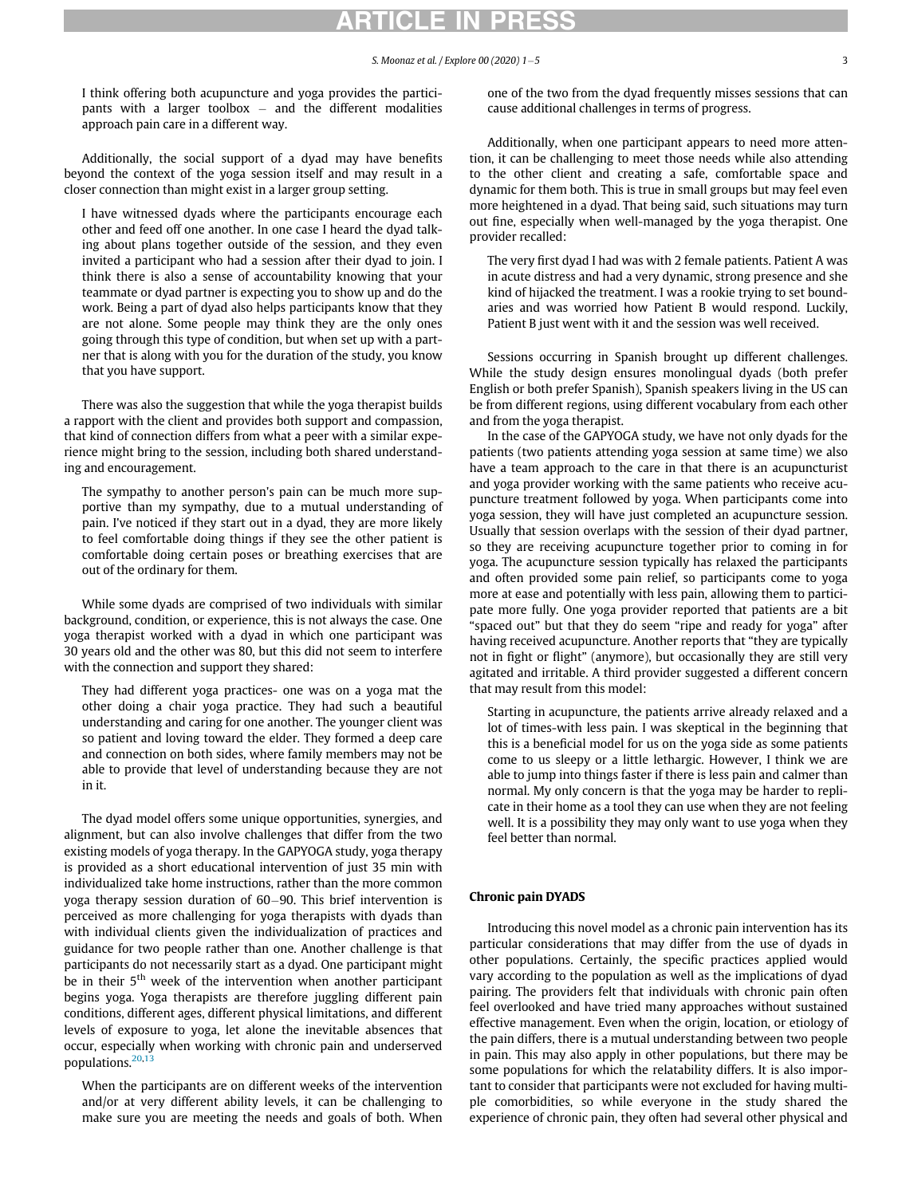I think offering both acupuncture and yoga provides the participants with a larger toolbox  $-$  and the different modalities approach pain care in a different way.

Additionally, the social support of a dyad may have benefits beyond the context of the yoga session itself and may result in a closer connection than might exist in a larger group setting.

I have witnessed dyads where the participants encourage each other and feed off one another. In one case I heard the dyad talking about plans together outside of the session, and they even invited a participant who had a session after their dyad to join. I think there is also a sense of accountability knowing that your teammate or dyad partner is expecting you to show up and do the work. Being a part of dyad also helps participants know that they are not alone. Some people may think they are the only ones going through this type of condition, but when set up with a partner that is along with you for the duration of the study, you know that you have support.

There was also the suggestion that while the yoga therapist builds a rapport with the client and provides both support and compassion, that kind of connection differs from what a peer with a similar experience might bring to the session, including both shared understanding and encouragement.

The sympathy to another person's pain can be much more supportive than my sympathy, due to a mutual understanding of pain. I've noticed if they start out in a dyad, they are more likely to feel comfortable doing things if they see the other patient is comfortable doing certain poses or breathing exercises that are out of the ordinary for them.

While some dyads are comprised of two individuals with similar background, condition, or experience, this is not always the case. One yoga therapist worked with a dyad in which one participant was 30 years old and the other was 80, but this did not seem to interfere with the connection and support they shared:

They had different yoga practices- one was on a yoga mat the other doing a chair yoga practice. They had such a beautiful understanding and caring for one another. The younger client was so patient and loving toward the elder. They formed a deep care and connection on both sides, where family members may not be able to provide that level of understanding because they are not in it.

The dyad model offers some unique opportunities, synergies, and alignment, but can also involve challenges that differ from the two existing models of yoga therapy. In the GAPYOGA study, yoga therapy is provided as a short educational intervention of just 35 min with individualized take home instructions, rather than the more common yoga therapy session duration of 60-90. This brief intervention is perceived as more challenging for yoga therapists with dyads than with individual clients given the individualization of practices and guidance for two people rather than one. Another challenge is that participants do not necessarily start as a dyad. One participant might be in their  $5<sup>th</sup>$  week of the intervention when another participant begins yoga. Yoga therapists are therefore juggling different pain conditions, different ages, different physical limitations, and different levels of exposure to yoga, let alone the inevitable absences that occur, especially when working with chronic pain and underserved populations.[20](#page-4-16),[13](#page-4-11)

When the participants are on different weeks of the intervention and/or at very different ability levels, it can be challenging to make sure you are meeting the needs and goals of both. When one of the two from the dyad frequently misses sessions that can cause additional challenges in terms of progress.

Additionally, when one participant appears to need more attention, it can be challenging to meet those needs while also attending to the other client and creating a safe, comfortable space and dynamic for them both. This is true in small groups but may feel even more heightened in a dyad. That being said, such situations may turn out fine, especially when well-managed by the yoga therapist. One provider recalled:

The very first dyad I had was with 2 female patients. Patient A was in acute distress and had a very dynamic, strong presence and she kind of hijacked the treatment. I was a rookie trying to set boundaries and was worried how Patient B would respond. Luckily, Patient B just went with it and the session was well received.

Sessions occurring in Spanish brought up different challenges. While the study design ensures monolingual dyads (both prefer English or both prefer Spanish), Spanish speakers living in the US can be from different regions, using different vocabulary from each other and from the yoga therapist.

In the case of the GAPYOGA study, we have not only dyads for the patients (two patients attending yoga session at same time) we also have a team approach to the care in that there is an acupuncturist and yoga provider working with the same patients who receive acupuncture treatment followed by yoga. When participants come into yoga session, they will have just completed an acupuncture session. Usually that session overlaps with the session of their dyad partner, so they are receiving acupuncture together prior to coming in for yoga. The acupuncture session typically has relaxed the participants and often provided some pain relief, so participants come to yoga more at ease and potentially with less pain, allowing them to participate more fully. One yoga provider reported that patients are a bit "spaced out" but that they do seem "ripe and ready for yoga" after having received acupuncture. Another reports that "they are typically not in fight or flight" (anymore), but occasionally they are still very agitated and irritable. A third provider suggested a different concern that may result from this model:

Starting in acupuncture, the patients arrive already relaxed and a lot of times-with less pain. I was skeptical in the beginning that this is a beneficial model for us on the yoga side as some patients come to us sleepy or a little lethargic. However, I think we are able to jump into things faster if there is less pain and calmer than normal. My only concern is that the yoga may be harder to replicate in their home as a tool they can use when they are not feeling well. It is a possibility they may only want to use yoga when they feel better than normal.

#### Chronic pain DYADS

Introducing this novel model as a chronic pain intervention has its particular considerations that may differ from the use of dyads in other populations. Certainly, the specific practices applied would vary according to the population as well as the implications of dyad pairing. The providers felt that individuals with chronic pain often feel overlooked and have tried many approaches without sustained effective management. Even when the origin, location, or etiology of the pain differs, there is a mutual understanding between two people in pain. This may also apply in other populations, but there may be some populations for which the relatability differs. It is also important to consider that participants were not excluded for having multiple comorbidities, so while everyone in the study shared the experience of chronic pain, they often had several other physical and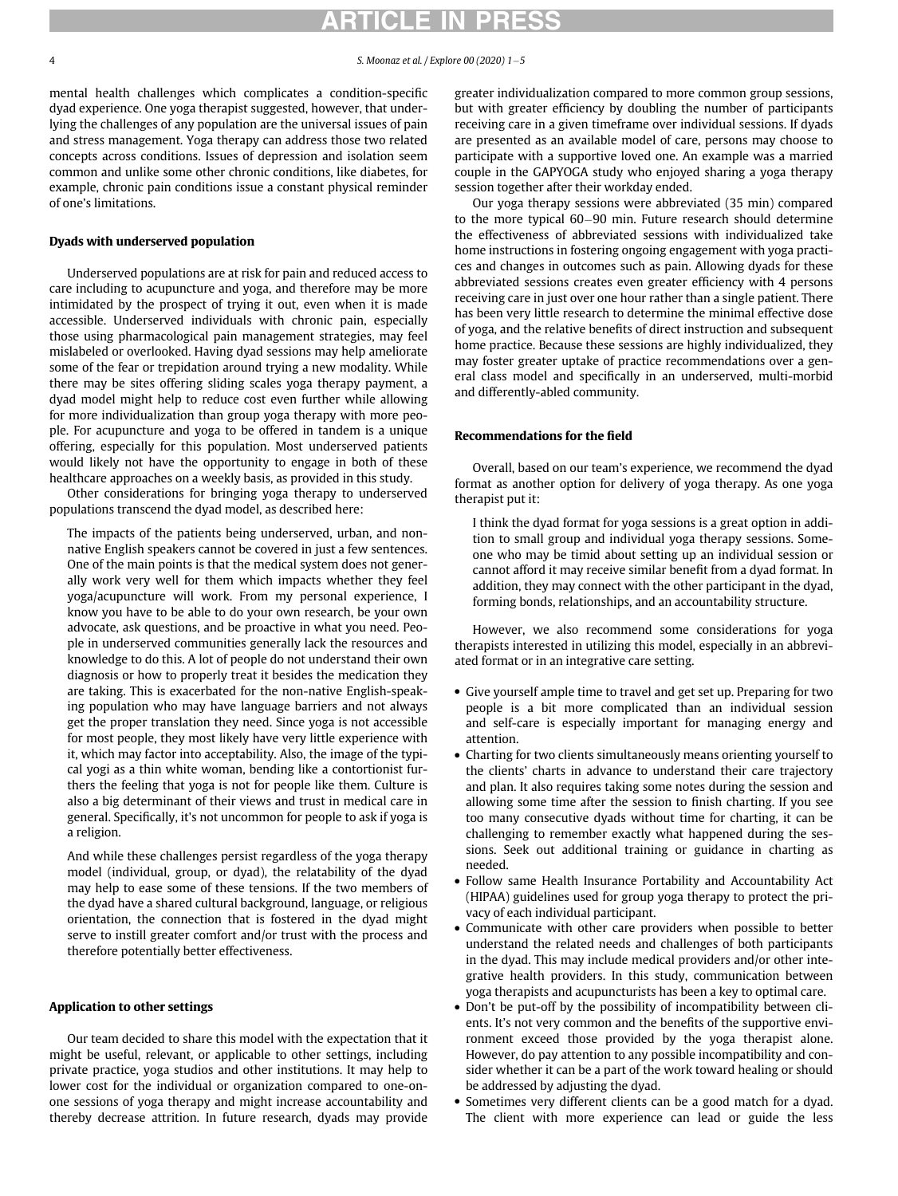mental health challenges which complicates a condition-specific dyad experience. One yoga therapist suggested, however, that underlying the challenges of any population are the universal issues of pain and stress management. Yoga therapy can address those two related concepts across conditions. Issues of depression and isolation seem common and unlike some other chronic conditions, like diabetes, for example, chronic pain conditions issue a constant physical reminder of one's limitations.

#### Dyads with underserved population

Underserved populations are at risk for pain and reduced access to care including to acupuncture and yoga, and therefore may be more intimidated by the prospect of trying it out, even when it is made accessible. Underserved individuals with chronic pain, especially those using pharmacological pain management strategies, may feel mislabeled or overlooked. Having dyad sessions may help ameliorate some of the fear or trepidation around trying a new modality. While there may be sites offering sliding scales yoga therapy payment, a dyad model might help to reduce cost even further while allowing for more individualization than group yoga therapy with more people. For acupuncture and yoga to be offered in tandem is a unique offering, especially for this population. Most underserved patients would likely not have the opportunity to engage in both of these healthcare approaches on a weekly basis, as provided in this study.

Other considerations for bringing yoga therapy to underserved populations transcend the dyad model, as described here:

The impacts of the patients being underserved, urban, and nonnative English speakers cannot be covered in just a few sentences. One of the main points is that the medical system does not generally work very well for them which impacts whether they feel yoga/acupuncture will work. From my personal experience, I know you have to be able to do your own research, be your own advocate, ask questions, and be proactive in what you need. People in underserved communities generally lack the resources and knowledge to do this. A lot of people do not understand their own diagnosis or how to properly treat it besides the medication they are taking. This is exacerbated for the non-native English-speaking population who may have language barriers and not always get the proper translation they need. Since yoga is not accessible for most people, they most likely have very little experience with it, which may factor into acceptability. Also, the image of the typical yogi as a thin white woman, bending like a contortionist furthers the feeling that yoga is not for people like them. Culture is also a big determinant of their views and trust in medical care in general. Specifically, it's not uncommon for people to ask if yoga is a religion.

And while these challenges persist regardless of the yoga therapy model (individual, group, or dyad), the relatability of the dyad may help to ease some of these tensions. If the two members of the dyad have a shared cultural background, language, or religious orientation, the connection that is fostered in the dyad might serve to instill greater comfort and/or trust with the process and therefore potentially better effectiveness.

#### Application to other settings

Our team decided to share this model with the expectation that it might be useful, relevant, or applicable to other settings, including private practice, yoga studios and other institutions. It may help to lower cost for the individual or organization compared to one-onone sessions of yoga therapy and might increase accountability and thereby decrease attrition. In future research, dyads may provide greater individualization compared to more common group sessions, but with greater efficiency by doubling the number of participants receiving care in a given timeframe over individual sessions. If dyads are presented as an available model of care, persons may choose to participate with a supportive loved one. An example was a married couple in the GAPYOGA study who enjoyed sharing a yoga therapy session together after their workday ended.

Our yoga therapy sessions were abbreviated (35 min) compared to the more typical 60–90 min. Future research should determine the effectiveness of abbreviated sessions with individualized take home instructions in fostering ongoing engagement with yoga practices and changes in outcomes such as pain. Allowing dyads for these abbreviated sessions creates even greater efficiency with 4 persons receiving care in just over one hour rather than a single patient. There has been very little research to determine the minimal effective dose of yoga, and the relative benefits of direct instruction and subsequent home practice. Because these sessions are highly individualized, they may foster greater uptake of practice recommendations over a general class model and specifically in an underserved, multi-morbid and differently-abled community.

#### Recommendations for the field

Overall, based on our team's experience, we recommend the dyad format as another option for delivery of yoga therapy. As one yoga therapist put it:

I think the dyad format for yoga sessions is a great option in addition to small group and individual yoga therapy sessions. Someone who may be timid about setting up an individual session or cannot afford it may receive similar benefit from a dyad format. In addition, they may connect with the other participant in the dyad, forming bonds, relationships, and an accountability structure.

However, we also recommend some considerations for yoga therapists interested in utilizing this model, especially in an abbreviated format or in an integrative care setting.

- Give yourself ample time to travel and get set up. Preparing for two people is a bit more complicated than an individual session and self-care is especially important for managing energy and attention.
- Charting for two clients simultaneously means orienting yourself to the clients' charts in advance to understand their care trajectory and plan. It also requires taking some notes during the session and allowing some time after the session to finish charting. If you see too many consecutive dyads without time for charting, it can be challenging to remember exactly what happened during the sessions. Seek out additional training or guidance in charting as needed.
- Follow same Health Insurance Portability and Accountability Act (HIPAA) guidelines used for group yoga therapy to protect the privacy of each individual participant.
- Communicate with other care providers when possible to better understand the related needs and challenges of both participants in the dyad. This may include medical providers and/or other integrative health providers. In this study, communication between yoga therapists and acupuncturists has been a key to optimal care.
- Don't be put-off by the possibility of incompatibility between clients. It's not very common and the benefits of the supportive environment exceed those provided by the yoga therapist alone. However, do pay attention to any possible incompatibility and consider whether it can be a part of the work toward healing or should be addressed by adjusting the dyad.
- Sometimes very different clients can be a good match for a dyad. The client with more experience can lead or guide the less